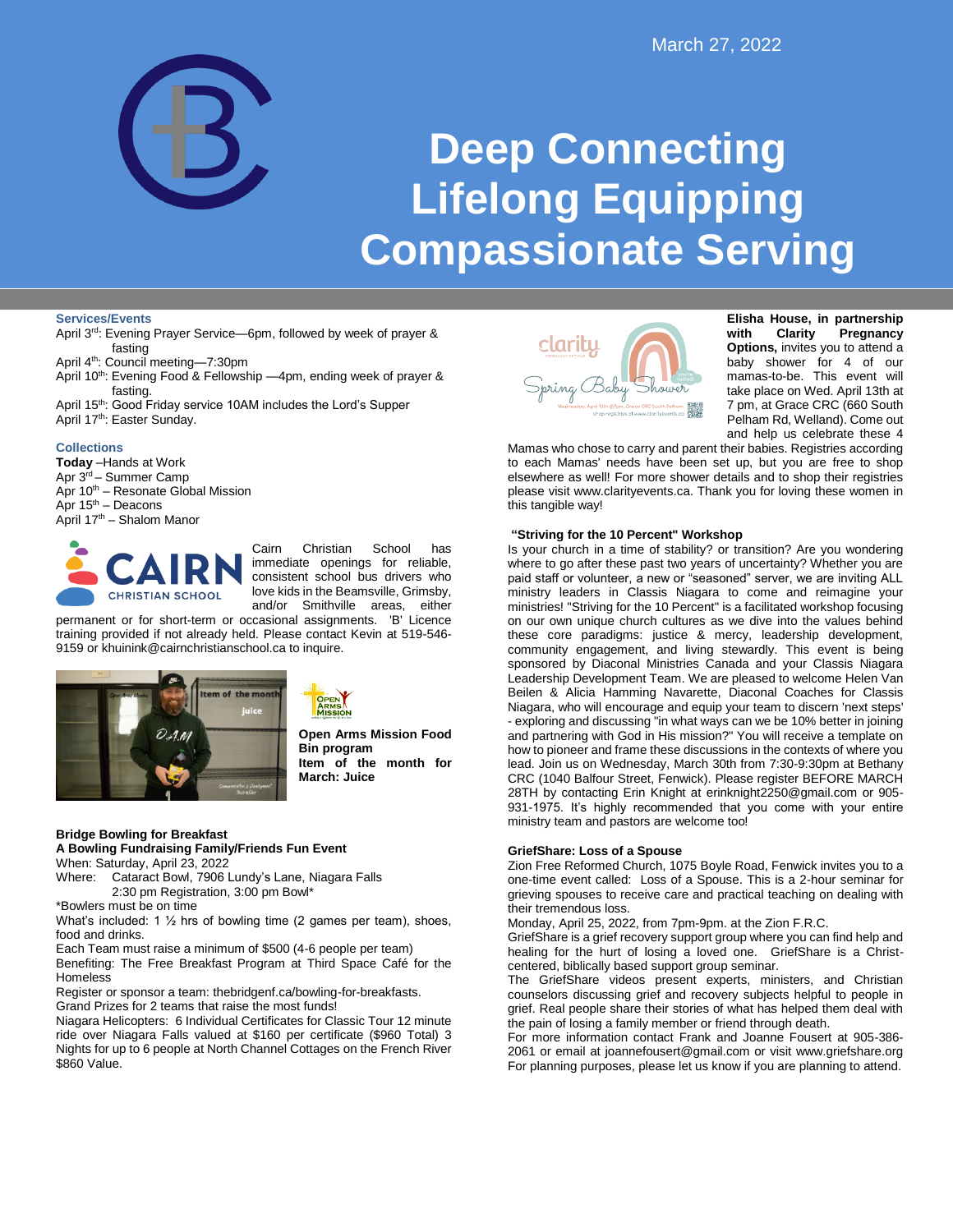

# **Deep Connecting Lifelong Equipping Compassionate Serving**

## **Services/Events**

- April 3rd: Evening Prayer Service-6pm, followed by week of prayer & fasting
- April 4th: Council meeting—7:30pm
- April 10<sup>th</sup>: Evening Food & Fellowship -4pm, ending week of prayer & fasting.
- April 15<sup>th</sup>: Good Friday service 10AM includes the Lord's Supper April 17<sup>th</sup>: Easter Sunday.

#### **Collections**

**Today** –Hands at Work Apr 3rd – Summer Camp Apr 10<sup>th</sup> – Resonate Global Mission Apr  $15<sup>th</sup>$  – Deacons April 17th – Shalom Manor



Cairn Christian School has immediate openings for reliable, consistent school bus drivers who love kids in the Beamsville, Grimsby, and/or Smithville areas, either permanent or for short-term or occasional assignments. 'B' Licence

training provided if not already held. Please contact Kevin at 519-546- 9159 or khuinink@cairnchristianschool.ca to inquire.





**Open Arms Mission Food Bin program Item of the month for March: Juice**

#### **Bridge Bowling for Breakfast**

**A Bowling Fundraising Family/Friends Fun Event** When: Saturday, April 23, 2022

Where: Cataract Bowl, 7906 Lundy's Lane, Niagara Falls 2:30 pm Registration, 3:00 pm Bowl\*

\*Bowlers must be on time

What's included: 1 ½ hrs of bowling time (2 games per team), shoes, food and drinks.

Each Team must raise a minimum of \$500 (4-6 people per team) Benefiting: The Free Breakfast Program at Third Space Café for the

Homeless

Register or sponsor a team: thebridgenf.ca/bowling-for-breakfasts. Grand Prizes for 2 teams that raise the most funds!

Niagara Helicopters: 6 Individual Certificates for Classic Tour 12 minute ride over Niagara Falls valued at \$160 per certificate (\$960 Total) 3 Nights for up to 6 people at North Channel Cottages on the French River \$860 Value.



**Elisha House, in partnership with Clarity Pregnancy Options,** invites you to attend a baby shower for 4 of our mamas-to-be. This event will take place on Wed. April 13th at 7 pm, at Grace CRC (660 South Pelham Rd, Welland). Come out and help us celebrate these 4

Mamas who chose to carry and parent their babies. Registries according to each Mamas' needs have been set up, but you are free to shop elsewhere as well! For more shower details and to shop their registries please visit www.clarityevents.ca. Thank you for loving these women in this tangible way!

#### **"Striving for the 10 Percent" Workshop**

Is your church in a time of stability? or transition? Are you wondering where to go after these past two years of uncertainty? Whether you are paid staff or volunteer, a new or "seasoned" server, we are inviting ALL ministry leaders in Classis Niagara to come and reimagine your ministries! "Striving for the 10 Percent" is a facilitated workshop focusing on our own unique church cultures as we dive into the values behind these core paradigms: justice & mercy, leadership development, community engagement, and living stewardly. This event is being sponsored by Diaconal Ministries Canada and your Classis Niagara Leadership Development Team. We are pleased to welcome Helen Van Beilen & Alicia Hamming Navarette, Diaconal Coaches for Classis Niagara, who will encourage and equip your team to discern 'next steps' - exploring and discussing "in what ways can we be 10% better in joining and partnering with God in His mission?" You will receive a template on how to pioneer and frame these discussions in the contexts of where you lead. Join us on Wednesday, March 30th from 7:30-9:30pm at Bethany CRC (1040 Balfour Street, Fenwick). Please register BEFORE MARCH 28TH by contacting Erin Knight at erinknight2250@gmail.com or 905- 931-1975. It's highly recommended that you come with your entire ministry team and pastors are welcome too!

# **GriefShare: Loss of a Spouse**

Zion Free Reformed Church, 1075 Boyle Road, Fenwick invites you to a one-time event called: Loss of a Spouse. This is a 2-hour seminar for grieving spouses to receive care and practical teaching on dealing with their tremendous loss.

Monday, April 25, 2022, from 7pm-9pm. at the Zion F.R.C.

GriefShare is a grief recovery support group where you can find help and healing for the hurt of losing a loved one. GriefShare is a Christcentered, biblically based support group seminar.

The GriefShare videos present experts, ministers, and Christian counselors discussing grief and recovery subjects helpful to people in grief. Real people share their stories of what has helped them deal with the pain of losing a family member or friend through death.

For more information contact Frank and Joanne Fousert at 905-386- 2061 or email at joannefousert@gmail.com or visit www.griefshare.org For planning purposes, please let us know if you are planning to attend.